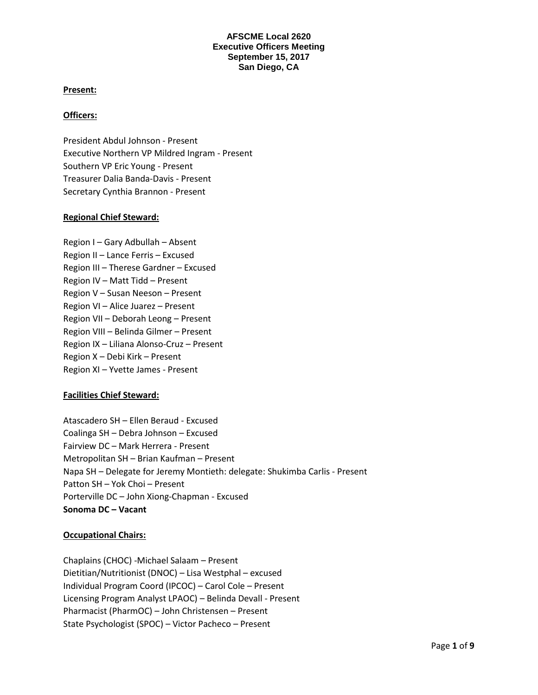## **Present:**

### **Officers:**

President Abdul Johnson - Present Executive Northern VP Mildred Ingram - Present Southern VP Eric Young - Present Treasurer Dalia Banda-Davis - Present Secretary Cynthia Brannon - Present

## **Regional Chief Steward:**

Region I – Gary Adbullah – Absent Region II – Lance Ferris – Excused Region III – Therese Gardner – Excused Region IV – Matt Tidd – Present Region V – Susan Neeson – Present Region VI – Alice Juarez – Present Region VII – Deborah Leong – Present Region VIII – Belinda Gilmer – Present Region IX – Liliana Alonso-Cruz – Present Region X – Debi Kirk – Present Region XI – Yvette James - Present

# **Facilities Chief Steward:**

Atascadero SH – Ellen Beraud - Excused Coalinga SH – Debra Johnson – Excused Fairview DC – Mark Herrera - Present Metropolitan SH – Brian Kaufman – Present Napa SH – Delegate for Jeremy Montieth: delegate: Shukimba Carlis - Present Patton SH – Yok Choi – Present Porterville DC – John Xiong-Chapman - Excused **Sonoma DC – Vacant**

#### **Occupational Chairs:**

Chaplains (CHOC) -Michael Salaam – Present Dietitian/Nutritionist (DNOC) – Lisa Westphal – excused Individual Program Coord (IPCOC) – Carol Cole – Present Licensing Program Analyst LPAOC) – Belinda Devall - Present Pharmacist (PharmOC) – John Christensen – Present State Psychologist (SPOC) – Victor Pacheco – Present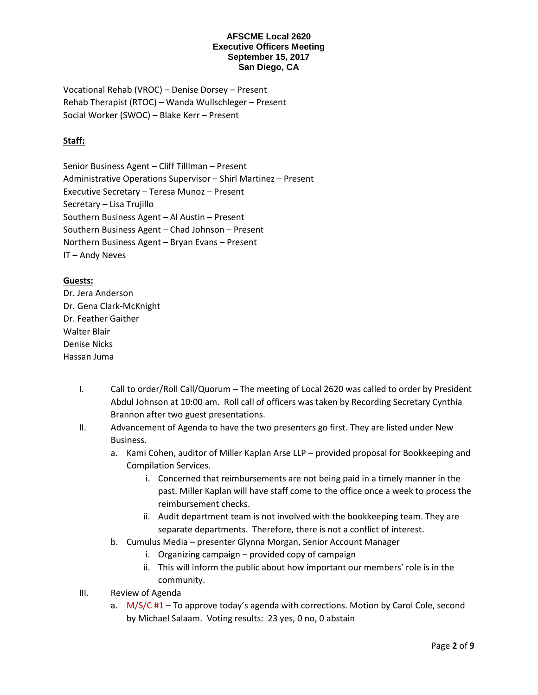Vocational Rehab (VROC) – Denise Dorsey – Present Rehab Therapist (RTOC) – Wanda Wullschleger – Present Social Worker (SWOC) – Blake Kerr – Present

# **Staff:**

Senior Business Agent – Cliff Tilllman – Present Administrative Operations Supervisor – Shirl Martinez – Present Executive Secretary – Teresa Munoz – Present Secretary – Lisa Trujillo Southern Business Agent – Al Austin – Present Southern Business Agent – Chad Johnson – Present Northern Business Agent – Bryan Evans – Present IT – Andy Neves

# **Guests:**

Dr. Jera Anderson Dr. Gena Clark-McKnight Dr. Feather Gaither Walter Blair Denise Nicks Hassan Juma

- I. Call to order/Roll Call/Quorum The meeting of Local 2620 was called to order by President Abdul Johnson at 10:00 am. Roll call of officers was taken by Recording Secretary Cynthia Brannon after two guest presentations.
- II. Advancement of Agenda to have the two presenters go first. They are listed under New Business.
	- a. Kami Cohen, auditor of Miller Kaplan Arse LLP provided proposal for Bookkeeping and Compilation Services.
		- i. Concerned that reimbursements are not being paid in a timely manner in the past. Miller Kaplan will have staff come to the office once a week to process the reimbursement checks.
		- ii. Audit department team is not involved with the bookkeeping team. They are separate departments. Therefore, there is not a conflict of interest.
	- b. Cumulus Media presenter Glynna Morgan, Senior Account Manager
		- i. Organizing campaign provided copy of campaign
		- ii. This will inform the public about how important our members' role is in the community.
- III. Review of Agenda
	- a. M/S/C #1 To approve today's agenda with corrections. Motion by Carol Cole, second by Michael Salaam. Voting results: 23 yes, 0 no, 0 abstain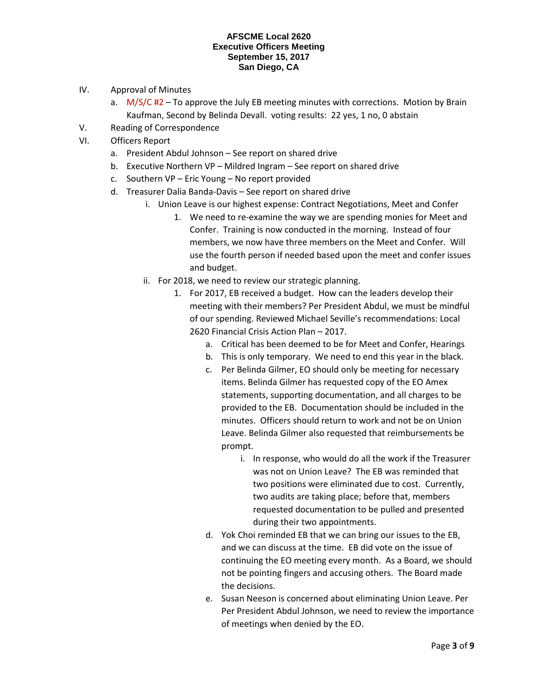- IV. Approval of Minutes
	- a.  $M/S/C H2 To$  approve the July EB meeting minutes with corrections. Motion by Brain Kaufman, Second by Belinda Devall. voting results: 22 yes, 1 no, 0 abstain
- V. Reading of Correspondence
- VI. Officers Report
	- a. President Abdul Johnson See report on shared drive
	- b. Executive Northern VP Mildred Ingram See report on shared drive
	- c. Southern VP Eric Young No report provided
	- d. Treasurer Dalia Banda-Davis See report on shared drive
		- i. Union Leave is our highest expense: Contract Negotiations, Meet and Confer
			- 1. We need to re-examine the way we are spending monies for Meet and Confer. Training is now conducted in the morning. Instead of four members, we now have three members on the Meet and Confer. Will use the fourth person if needed based upon the meet and confer issues and budget.
		- ii. For 2018, we need to review our strategic planning.
			- 1. For 2017, EB received a budget. How can the leaders develop their meeting with their members? Per President Abdul, we must be mindful of our spending. Reviewed Michael Seville's recommendations: Local 2620 Financial Crisis Action Plan – 2017.
				- a. Critical has been deemed to be for Meet and Confer, Hearings
				- b. This is only temporary. We need to end this year in the black.
				- c. Per Belinda Gilmer, EO should only be meeting for necessary items. Belinda Gilmer has requested copy of the EO Amex statements, supporting documentation, and all charges to be provided to the EB. Documentation should be included in the minutes. Officers should return to work and not be on Union Leave. Belinda Gilmer also requested that reimbursements be prompt.
					- i. In response, who would do all the work if the Treasurer was not on Union Leave? The EB was reminded that two positions were eliminated due to cost. Currently, two audits are taking place; before that, members requested documentation to be pulled and presented during their two appointments.
				- d. Yok Choi reminded EB that we can bring our issues to the EB, and we can discuss at the time. EB did vote on the issue of continuing the EO meeting every month. As a Board, we should not be pointing fingers and accusing others. The Board made the decisions.
				- e. Susan Neeson is concerned about eliminating Union Leave. Per Per President Abdul Johnson, we need to review the importance of meetings when denied by the EO.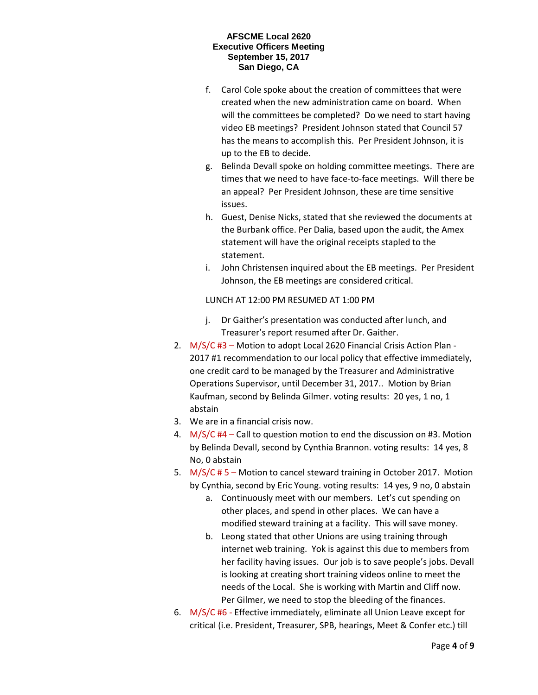- f. Carol Cole spoke about the creation of committees that were created when the new administration came on board. When will the committees be completed? Do we need to start having video EB meetings? President Johnson stated that Council 57 has the means to accomplish this. Per President Johnson, it is up to the EB to decide.
- g. Belinda Devall spoke on holding committee meetings. There are times that we need to have face-to-face meetings. Will there be an appeal? Per President Johnson, these are time sensitive issues.
- h. Guest, Denise Nicks, stated that she reviewed the documents at the Burbank office. Per Dalia, based upon the audit, the Amex statement will have the original receipts stapled to the statement.
- i. John Christensen inquired about the EB meetings. Per President Johnson, the EB meetings are considered critical.

LUNCH AT 12:00 PM RESUMED AT 1:00 PM

- j. Dr Gaither's presentation was conducted after lunch, and Treasurer's report resumed after Dr. Gaither.
- 2. M/S/C #3 Motion to adopt Local 2620 Financial Crisis Action Plan 2017 #1 recommendation to our local policy that effective immediately, one credit card to be managed by the Treasurer and Administrative Operations Supervisor, until December 31, 2017.. Motion by Brian Kaufman, second by Belinda Gilmer. voting results: 20 yes, 1 no, 1 abstain
- 3. We are in a financial crisis now.
- 4. M/S/C #4 Call to question motion to end the discussion on #3. Motion by Belinda Devall, second by Cynthia Brannon. voting results: 14 yes, 8 No, 0 abstain
- 5. M/S/C # 5 Motion to cancel steward training in October 2017. Motion by Cynthia, second by Eric Young. voting results: 14 yes, 9 no, 0 abstain
	- a. Continuously meet with our members. Let's cut spending on other places, and spend in other places. We can have a modified steward training at a facility. This will save money.
	- b. Leong stated that other Unions are using training through internet web training. Yok is against this due to members from her facility having issues. Our job is to save people's jobs. Devall is looking at creating short training videos online to meet the needs of the Local. She is working with Martin and Cliff now. Per Gilmer, we need to stop the bleeding of the finances.
- 6. M/S/C #6 Effective immediately, eliminate all Union Leave except for critical (i.e. President, Treasurer, SPB, hearings, Meet & Confer etc.) till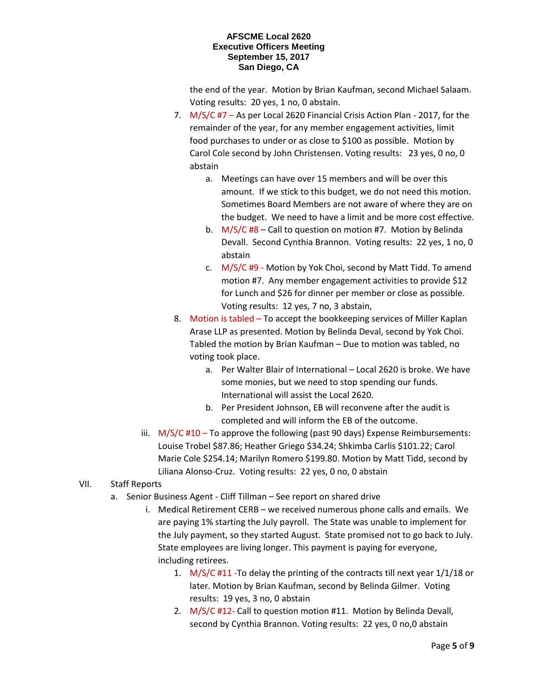the end of the year. Motion by Brian Kaufman, second Michael Salaam. Voting results: 20 yes, 1 no, 0 abstain.

- 7. M/S/C #7 As per Local 2620 Financial Crisis Action Plan 2017, for the remainder of the year, for any member engagement activities, limit food purchases to under or as close to \$100 as possible. Motion by Carol Cole second by John Christensen. Voting results: 23 yes, 0 no, 0 abstain
	- a. Meetings can have over 15 members and will be over this amount. If we stick to this budget, we do not need this motion. Sometimes Board Members are not aware of where they are on the budget. We need to have a limit and be more cost effective.
	- b. M/S/C #8 Call to question on motion #7. Motion by Belinda Devall. Second Cynthia Brannon. Voting results: 22 yes, 1 no, 0 abstain
	- c. M/S/C #9 Motion by Yok Choi, second by Matt Tidd. To amend motion #7. Any member engagement activities to provide \$12 for Lunch and \$26 for dinner per member or close as possible. Voting results: 12 yes, 7 no, 3 abstain,
- 8. Motion is tabled To accept the bookkeeping services of Miller Kaplan Arase LLP as presented. Motion by Belinda Deval, second by Yok Choi. Tabled the motion by Brian Kaufman – Due to motion was tabled, no voting took place.
	- a. Per Walter Blair of International Local 2620 is broke. We have some monies, but we need to stop spending our funds. International will assist the Local 2620.
	- b. Per President Johnson, EB will reconvene after the audit is completed and will inform the EB of the outcome.
- iii.  $M/S/C H10 To$  approve the following (past 90 days) Expense Reimbursements: Louise Trobel \$87.86; Heather Griego \$34.24; Shkimba Carlis \$101.22; Carol Marie Cole \$254.14; Marilyn Romero \$199.80. Motion by Matt Tidd, second by Liliana Alonso-Cruz. Voting results: 22 yes, 0 no, 0 abstain
- VII. Staff Reports
	- a. Senior Business Agent Cliff Tillman See report on shared drive
		- i. Medical Retirement CERB we received numerous phone calls and emails. We are paying 1% starting the July payroll. The State was unable to implement for the July payment, so they started August. State promised not to go back to July. State employees are living longer. This payment is paying for everyone, including retirees.
			- 1. M/S/C #11 -To delay the printing of the contracts till next year 1/1/18 or later. Motion by Brian Kaufman, second by Belinda Gilmer. Voting results: 19 yes, 3 no, 0 abstain
			- 2. M/S/C #12- Call to question motion #11. Motion by Belinda Devall, second by Cynthia Brannon. Voting results: 22 yes, 0 no,0 abstain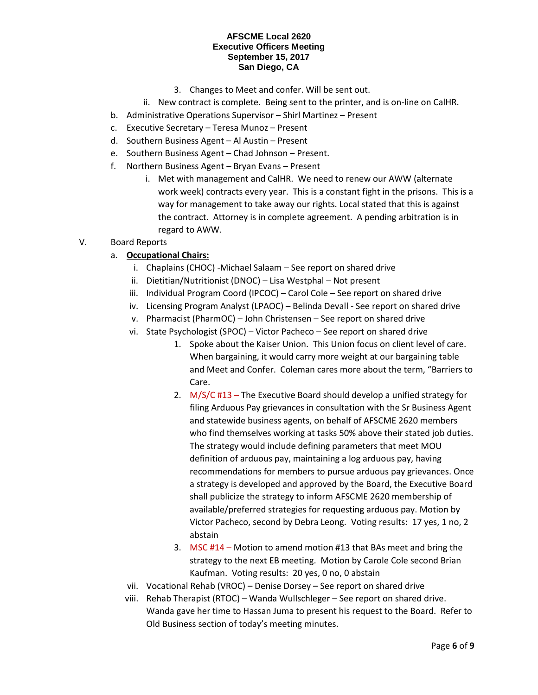- 3. Changes to Meet and confer. Will be sent out.
- ii. New contract is complete. Being sent to the printer, and is on-line on CalHR.
- b. Administrative Operations Supervisor Shirl Martinez Present
- c. Executive Secretary Teresa Munoz Present
- d. Southern Business Agent Al Austin Present
- e. Southern Business Agent Chad Johnson Present.
- f. Northern Business Agent Bryan Evans Present
	- i. Met with management and CalHR. We need to renew our AWW (alternate work week) contracts every year. This is a constant fight in the prisons. This is a way for management to take away our rights. Local stated that this is against the contract. Attorney is in complete agreement. A pending arbitration is in regard to AWW.

# V. Board Reports

# a. **Occupational Chairs:**

- i. Chaplains (CHOC) -Michael Salaam See report on shared drive
- ii. Dietitian/Nutritionist (DNOC) Lisa Westphal Not present
- iii. Individual Program Coord (IPCOC) Carol Cole See report on shared drive
- iv. Licensing Program Analyst (LPAOC) Belinda Devall See report on shared drive
- v. Pharmacist (PharmOC) John Christensen See report on shared drive
- vi. State Psychologist (SPOC) Victor Pacheco See report on shared drive
	- 1. Spoke about the Kaiser Union. This Union focus on client level of care. When bargaining, it would carry more weight at our bargaining table and Meet and Confer. Coleman cares more about the term, "Barriers to Care.
	- 2. M/S/C #13 The Executive Board should develop a unified strategy for filing Arduous Pay grievances in consultation with the Sr Business Agent and statewide business agents, on behalf of AFSCME 2620 members who find themselves working at tasks 50% above their stated job duties. The strategy would include defining parameters that meet MOU definition of arduous pay, maintaining a log arduous pay, having recommendations for members to pursue arduous pay grievances. Once a strategy is developed and approved by the Board, the Executive Board shall publicize the strategy to inform AFSCME 2620 membership of available/preferred strategies for requesting arduous pay. Motion by Victor Pacheco, second by Debra Leong. Voting results: 17 yes, 1 no, 2 abstain
	- 3. MSC #14 Motion to amend motion #13 that BAs meet and bring the strategy to the next EB meeting. Motion by Carole Cole second Brian Kaufman. Voting results: 20 yes, 0 no, 0 abstain
- vii. Vocational Rehab (VROC) Denise Dorsey See report on shared drive
- viii. Rehab Therapist (RTOC) Wanda Wullschleger See report on shared drive. Wanda gave her time to Hassan Juma to present his request to the Board. Refer to Old Business section of today's meeting minutes.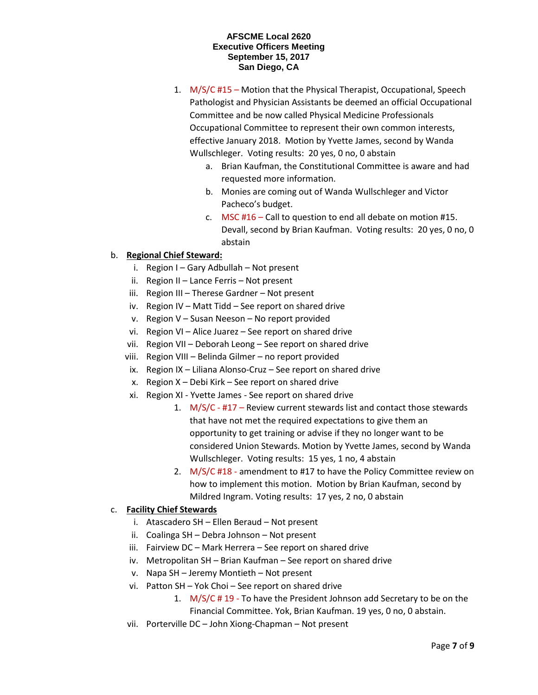- 1. M/S/C #15 Motion that the Physical Therapist, Occupational, Speech Pathologist and Physician Assistants be deemed an official Occupational Committee and be now called Physical Medicine Professionals Occupational Committee to represent their own common interests, effective January 2018. Motion by Yvette James, second by Wanda Wullschleger. Voting results: 20 yes, 0 no, 0 abstain
	- a. Brian Kaufman, the Constitutional Committee is aware and had requested more information.
	- b. Monies are coming out of Wanda Wullschleger and Victor Pacheco's budget.
	- c. MSC #16 Call to question to end all debate on motion #15. Devall, second by Brian Kaufman. Voting results: 20 yes, 0 no, 0 abstain

# b. **Regional Chief Steward:**

- i. Region I Gary Adbullah Not present
- ii. Region II Lance Ferris Not present
- iii. Region III Therese Gardner Not present
- iv. Region IV Matt Tidd See report on shared drive
- v. Region V Susan Neeson No report provided
- vi. Region VI Alice Juarez See report on shared drive
- vii. Region VII Deborah Leong See report on shared drive
- viii. Region VIII Belinda Gilmer no report provided
- ix. Region IX Liliana Alonso-Cruz See report on shared drive
- x. Region X Debi Kirk See report on shared drive
- xi. Region XI Yvette James See report on shared drive
	- 1. M/S/C #17 Review current stewards list and contact those stewards that have not met the required expectations to give them an opportunity to get training or advise if they no longer want to be considered Union Stewards. Motion by Yvette James, second by Wanda Wullschleger. Voting results: 15 yes, 1 no, 4 abstain
	- 2. M/S/C #18 amendment to #17 to have the Policy Committee review on how to implement this motion. Motion by Brian Kaufman, second by Mildred Ingram. Voting results: 17 yes, 2 no, 0 abstain

# c. **Facility Chief Stewards**

- i. Atascadero SH Ellen Beraud Not present
- ii. Coalinga SH Debra Johnson Not present
- iii. Fairview DC Mark Herrera See report on shared drive
- iv. Metropolitan SH Brian Kaufman See report on shared drive
- v. Napa SH Jeremy Montieth Not present
- vi. Patton SH Yok Choi See report on shared drive
	- 1. M/S/C # 19 To have the President Johnson add Secretary to be on the Financial Committee. Yok, Brian Kaufman. 19 yes, 0 no, 0 abstain.
- vii. Porterville DC John Xiong-Chapman Not present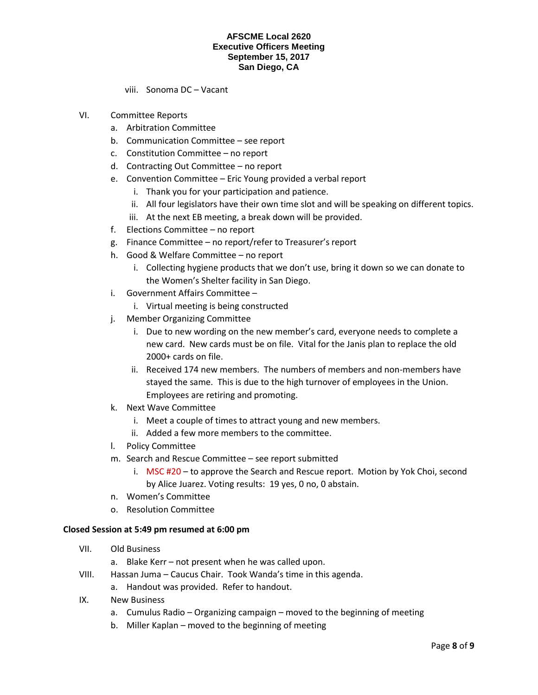viii. Sonoma DC – Vacant

- VI. Committee Reports
	- a. Arbitration Committee
	- b. Communication Committee see report
	- c. Constitution Committee no report
	- d. Contracting Out Committee no report
	- e. Convention Committee Eric Young provided a verbal report
		- i. Thank you for your participation and patience.
		- ii. All four legislators have their own time slot and will be speaking on different topics.
		- iii. At the next EB meeting, a break down will be provided.
	- f. Elections Committee no report
	- g. Finance Committee no report/refer to Treasurer's report
	- h. Good & Welfare Committee no report
		- i. Collecting hygiene products that we don't use, bring it down so we can donate to the Women's Shelter facility in San Diego.
	- i. Government Affairs Committee
		- i. Virtual meeting is being constructed
	- j. Member Organizing Committee
		- i. Due to new wording on the new member's card, everyone needs to complete a new card. New cards must be on file. Vital for the Janis plan to replace the old 2000+ cards on file.
		- ii. Received 174 new members. The numbers of members and non-members have stayed the same. This is due to the high turnover of employees in the Union. Employees are retiring and promoting.
	- k. Next Wave Committee
		- i. Meet a couple of times to attract young and new members.
		- ii. Added a few more members to the committee.
	- l. Policy Committee
	- m. Search and Rescue Committee see report submitted
		- i. MSC #20 to approve the Search and Rescue report. Motion by Yok Choi, second by Alice Juarez. Voting results: 19 yes, 0 no, 0 abstain.
	- n. Women's Committee
	- o. Resolution Committee

# **Closed Session at 5:49 pm resumed at 6:00 pm**

- VII. Old Business
	- a. Blake Kerr not present when he was called upon.
- VIII. Hassan Juma Caucus Chair. Took Wanda's time in this agenda.
	- a. Handout was provided. Refer to handout.
- IX. New Business
	- a. Cumulus Radio Organizing campaign moved to the beginning of meeting
	- b. Miller Kaplan moved to the beginning of meeting